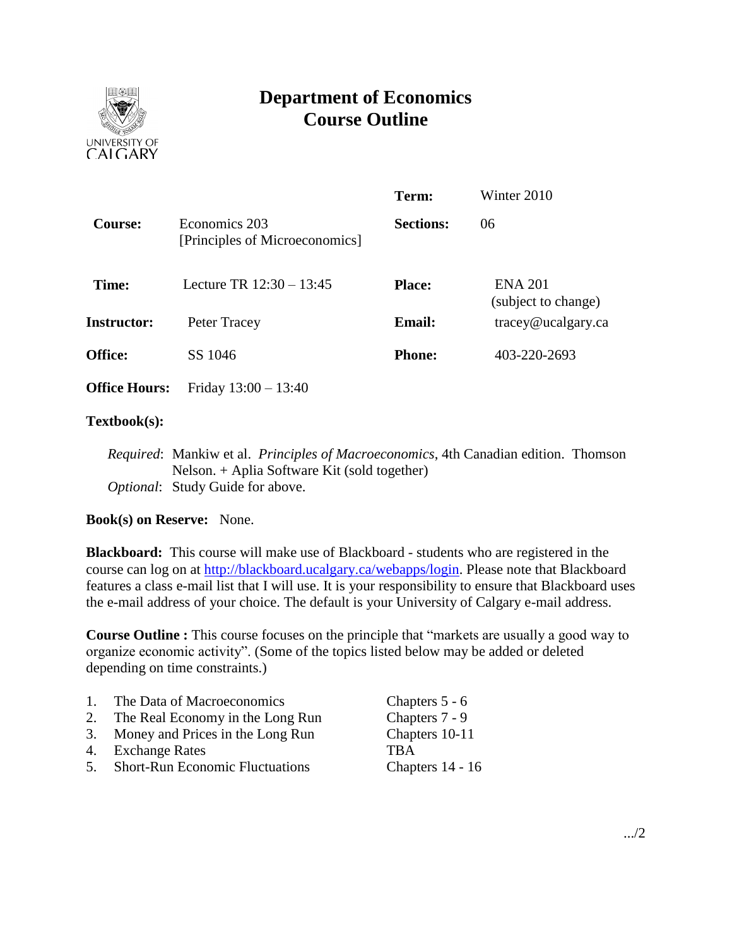

# **Department of Economics Course Outline**

|                                                 | Term: | Winter 2010                                                         |
|-------------------------------------------------|-------|---------------------------------------------------------------------|
| Economics 203<br>[Principles of Microeconomics] |       | 06                                                                  |
| Lecture TR $12:30 - 13:45$                      |       | <b>ENA 201</b><br>(subject to change)                               |
| Peter Tracey                                    |       | $trace\$ <i>e</i> $u$ $c$ $a$ $g$ $arc$ $c$ $a$                     |
| SS 1046                                         |       | 403-220-2693                                                        |
| Friday $13:00 - 13:40$                          |       |                                                                     |
|                                                 |       | <b>Sections:</b><br><b>Place:</b><br><b>Email:</b><br><b>Phone:</b> |

### **Textbook(s):**

*Required*: Mankiw et al. *Principles of Macroeconomics*, 4th Canadian edition. Thomson Nelson. + Aplia Software Kit (sold together) *Optional*: Study Guide for above.

# **Book(s) on Reserve:** None.

**Blackboard:** This course will make use of Blackboard - students who are registered in the course can log on at [http://blackboard.ucalgary.ca/webapps/login.](http://blackboard.ucalgary.ca/webapps/login) Please note that Blackboard features a class e-mail list that I will use. It is your responsibility to ensure that Blackboard uses the e-mail address of your choice. The default is your University of Calgary e-mail address.

**Course Outline :** This course focuses on the principle that "markets are usually a good way to organize economic activity". (Some of the topics listed below may be added or deleted depending on time constraints.)

| $\overline{1}$ . | The Data of Macroeconomics             | Chapters 5 - 6   |
|------------------|----------------------------------------|------------------|
| 2.               | The Real Economy in the Long Run       | Chapters 7 - 9   |
|                  | 3. Money and Prices in the Long Run    | Chapters 10-11   |
|                  | 4. Exchange Rates                      | <b>TRA</b>       |
| 5.               | <b>Short-Run Economic Fluctuations</b> | Chapters 14 - 16 |
|                  |                                        |                  |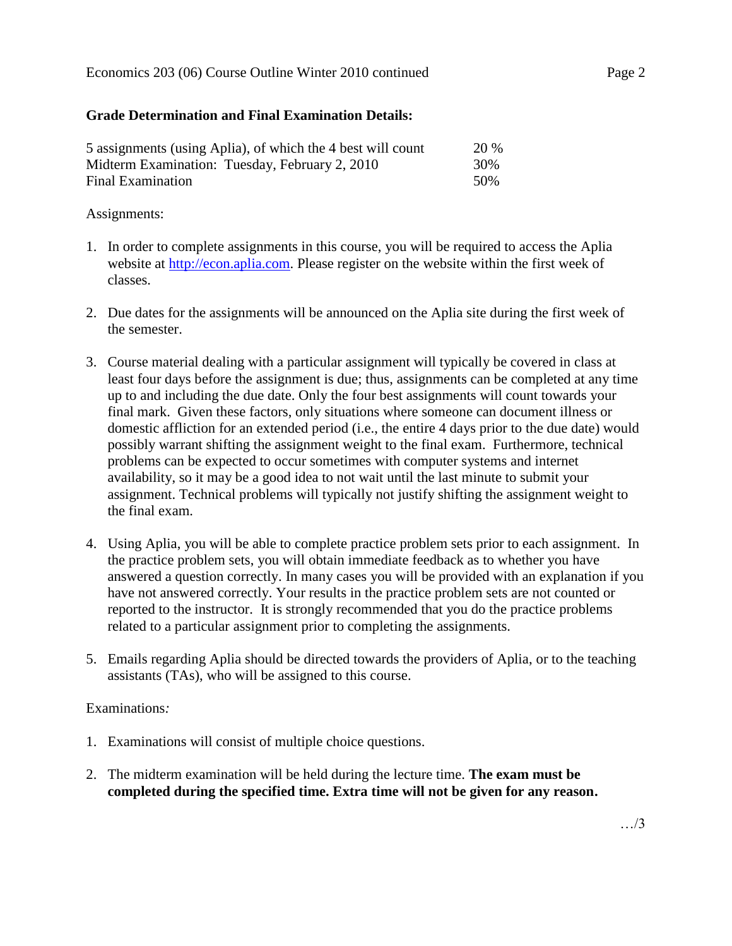### **Grade Determination and Final Examination Details:**

| 5 assignments (using Aplia), of which the 4 best will count | <b>20 %</b> |
|-------------------------------------------------------------|-------------|
| Midterm Examination: Tuesday, February 2, 2010              | 30%         |
| Final Examination                                           | .50%        |

### Assignments:

- 1. In order to complete assignments in this course, you will be required to access the Aplia website at [http://econ.aplia.com.](http://econ.aplia.com/) Please register on the website within the first week of classes.
- 2. Due dates for the assignments will be announced on the Aplia site during the first week of the semester.
- 3. Course material dealing with a particular assignment will typically be covered in class at least four days before the assignment is due; thus, assignments can be completed at any time up to and including the due date. Only the four best assignments will count towards your final mark. Given these factors, only situations where someone can document illness or domestic affliction for an extended period (i.e., the entire 4 days prior to the due date) would possibly warrant shifting the assignment weight to the final exam. Furthermore, technical problems can be expected to occur sometimes with computer systems and internet availability, so it may be a good idea to not wait until the last minute to submit your assignment. Technical problems will typically not justify shifting the assignment weight to the final exam.
- 4. Using Aplia, you will be able to complete practice problem sets prior to each assignment. In the practice problem sets, you will obtain immediate feedback as to whether you have answered a question correctly. In many cases you will be provided with an explanation if you have not answered correctly. Your results in the practice problem sets are not counted or reported to the instructor. It is strongly recommended that you do the practice problems related to a particular assignment prior to completing the assignments.
- 5. Emails regarding Aplia should be directed towards the providers of Aplia, or to the teaching assistants (TAs), who will be assigned to this course.

#### Examinations*:*

- 1. Examinations will consist of multiple choice questions.
- 2. The midterm examination will be held during the lecture time. **The exam must be completed during the specified time. Extra time will not be given for any reason.**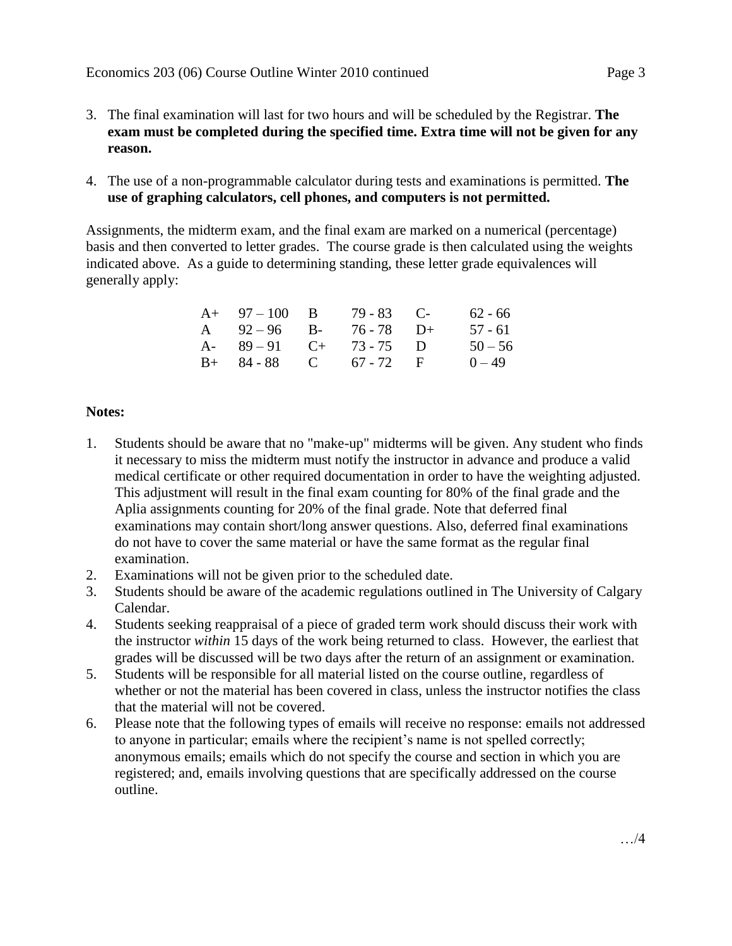- 3. The final examination will last for two hours and will be scheduled by the Registrar. **The exam must be completed during the specified time. Extra time will not be given for any reason.**
- 4. The use of a non-programmable calculator during tests and examinations is permitted. **The use of graphing calculators, cell phones, and computers is not permitted.**

Assignments, the midterm exam, and the final exam are marked on a numerical (percentage) basis and then converted to letter grades. The course grade is then calculated using the weights indicated above. As a guide to determining standing, these letter grade equivalences will generally apply:

| $A+ 97-100 B$         | $79 - 83$ C- | 62 - 66   |
|-----------------------|--------------|-----------|
| A $92-96$ B-          | $76 - 78$ D+ | $57 - 61$ |
| A- $89-91$ C+ 73-75 D |              | $50 - 56$ |
| $B+ 84-88$ C 67-72 F  |              | $0 - 49$  |

# **Notes:**

- 1. Students should be aware that no "make-up" midterms will be given. Any student who finds it necessary to miss the midterm must notify the instructor in advance and produce a valid medical certificate or other required documentation in order to have the weighting adjusted. This adjustment will result in the final exam counting for 80% of the final grade and the Aplia assignments counting for 20% of the final grade. Note that deferred final examinations may contain short/long answer questions. Also, deferred final examinations do not have to cover the same material or have the same format as the regular final examination.
- 2. Examinations will not be given prior to the scheduled date.
- 3. Students should be aware of the academic regulations outlined in The University of Calgary Calendar.
- 4. Students seeking reappraisal of a piece of graded term work should discuss their work with the instructor *within* 15 days of the work being returned to class. However, the earliest that grades will be discussed will be two days after the return of an assignment or examination.
- 5. Students will be responsible for all material listed on the course outline, regardless of whether or not the material has been covered in class, unless the instructor notifies the class that the material will not be covered.
- 6. Please note that the following types of emails will receive no response: emails not addressed to anyone in particular; emails where the recipient's name is not spelled correctly; anonymous emails; emails which do not specify the course and section in which you are registered; and, emails involving questions that are specifically addressed on the course outline.